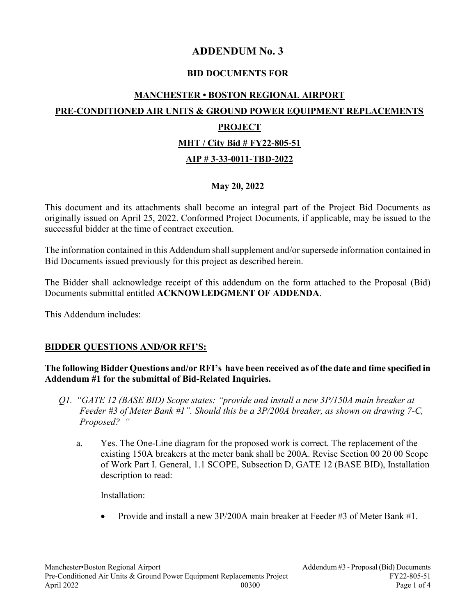# ADDENDUM No. 3

### BID DOCUMENTS FOR

# MANCHESTER • BOSTON REGIONAL AIRPORT

# PRE-CONDITIONED AIR UNITS & GROUND POWER EQUIPMENT REPLACEMENTS

### PROJECT

#### MHT / City Bid # FY22-805-51

### AIP # 3-33-0011-TBD-2022

### May 20, 2022

This document and its attachments shall become an integral part of the Project Bid Documents as originally issued on April 25, 2022. Conformed Project Documents, if applicable, may be issued to the successful bidder at the time of contract execution.

The information contained in this Addendum shall supplement and/or supersede information contained in Bid Documents issued previously for this project as described herein.

The Bidder shall acknowledge receipt of this addendum on the form attached to the Proposal (Bid) Documents submittal entitled ACKNOWLEDGMENT OF ADDENDA.

This Addendum includes:

#### BIDDER QUESTIONS AND/OR RFI'S:

#### The following Bidder Questions and/or RFI's have been received as of the date and time specified in Addendum #1 for the submittal of Bid-Related Inquiries.

- Q1. "GATE 12 (BASE BID) Scope states: "provide and install a new 3P/150A main breaker at Feeder #3 of Meter Bank #1". Should this be a 3P/200A breaker, as shown on drawing 7-C, Proposed? "
	- a. Yes. The One-Line diagram for the proposed work is correct. The replacement of the existing 150A breakers at the meter bank shall be 200A. Revise Section 00 20 00 Scope of Work Part I. General, 1.1 SCOPE, Subsection D, GATE 12 (BASE BID), Installation description to read:

Installation:

Provide and install a new 3P/200A main breaker at Feeder #3 of Meter Bank #1.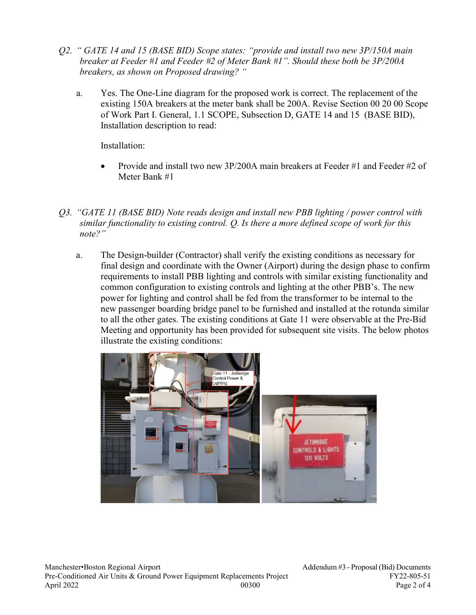- Q2. " GATE 14 and 15 (BASE BID) Scope states: "provide and install two new 3P/150A main breaker at Feeder #1 and Feeder #2 of Meter Bank #1". Should these both be 3P/200A breakers, as shown on Proposed drawing? "
	- a. Yes. The One-Line diagram for the proposed work is correct. The replacement of the existing 150A breakers at the meter bank shall be 200A. Revise Section 00 20 00 Scope of Work Part I. General, 1.1 SCOPE, Subsection D, GATE 14 and 15 (BASE BID), Installation description to read:

Installation:

- Provide and install two new 3P/200A main breakers at Feeder #1 and Feeder #2 of Meter Bank #1
- Q3. "GATE 11 (BASE BID) Note reads design and install new PBB lighting / power control with similar functionality to existing control. Q. Is there a more defined scope of work for this note?"
	- a. The Design-builder (Contractor) shall verify the existing conditions as necessary for final design and coordinate with the Owner (Airport) during the design phase to confirm requirements to install PBB lighting and controls with similar existing functionality and common configuration to existing controls and lighting at the other PBB's. The new power for lighting and control shall be fed from the transformer to be internal to the new passenger boarding bridge panel to be furnished and installed at the rotunda similar to all the other gates. The existing conditions at Gate 11 were observable at the Pre-Bid Meeting and opportunity has been provided for subsequent site visits. The below photos illustrate the existing conditions:

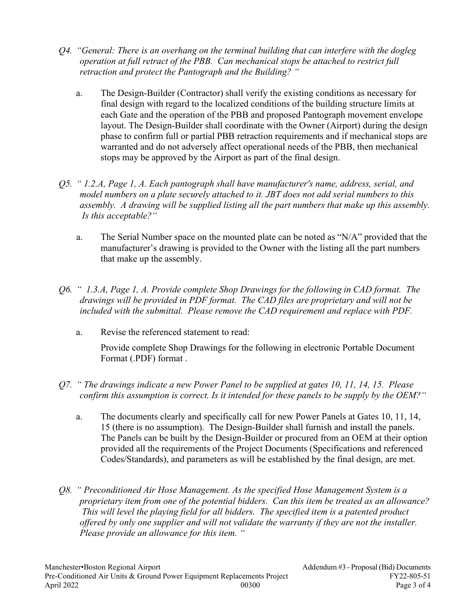- Q4. "General: There is an overhang on the terminal building that can interfere with the dogleg operation at full retract of the PBB. Can mechanical stops be attached to restrict full retraction and protect the Pantograph and the Building? "
	- a. The Design-Builder (Contractor) shall verify the existing conditions as necessary for final design with regard to the localized conditions of the building structure limits at each Gate and the operation of the PBB and proposed Pantograph movement envelope layout. The Design-Builder shall coordinate with the Owner (Airport) during the design phase to confirm full or partial PBB retraction requirements and if mechanical stops are warranted and do not adversely affect operational needs of the PBB, then mechanical stops may be approved by the Airport as part of the final design.
- Q5. " 1.2.A, Page 1, A. Each pantograph shall have manufacturer's name, address, serial, and model numbers on a plate securely attached to it. JBT does not add serial numbers to this assembly. A drawing will be supplied listing all the part numbers that make up this assembly. Is this acceptable?"
	- a. The Serial Number space on the mounted plate can be noted as "N/A" provided that the manufacturer's drawing is provided to the Owner with the listing all the part numbers that make up the assembly.
- Q6. " 1.3.A, Page 1, A. Provide complete Shop Drawings for the following in CAD format. The drawings will be provided in PDF format. The CAD files are proprietary and will not be included with the submittal. Please remove the CAD requirement and replace with PDF.
	- a. Revise the referenced statement to read:

Provide complete Shop Drawings for the following in electronic Portable Document Format (.PDF) format .

- Q7. " The drawings indicate a new Power Panel to be supplied at gates 10, 11, 14, 15. Please confirm this assumption is correct. Is it intended for these panels to be supply by the OEM?"
	- a. The documents clearly and specifically call for new Power Panels at Gates 10, 11, 14, 15 (there is no assumption). The Design-Builder shall furnish and install the panels. The Panels can be built by the Design-Builder or procured from an OEM at their option provided all the requirements of the Project Documents (Specifications and referenced Codes/Standards), and parameters as will be established by the final design, are met.
- Q8. " Preconditioned Air Hose Management. As the specified Hose Management System is a proprietary item from one of the potential bidders. Can this item be treated as an allowance? This will level the playing field for all bidders. The specified item is a patented product offered by only one supplier and will not validate the warranty if they are not the installer. Please provide an allowance for this item. "